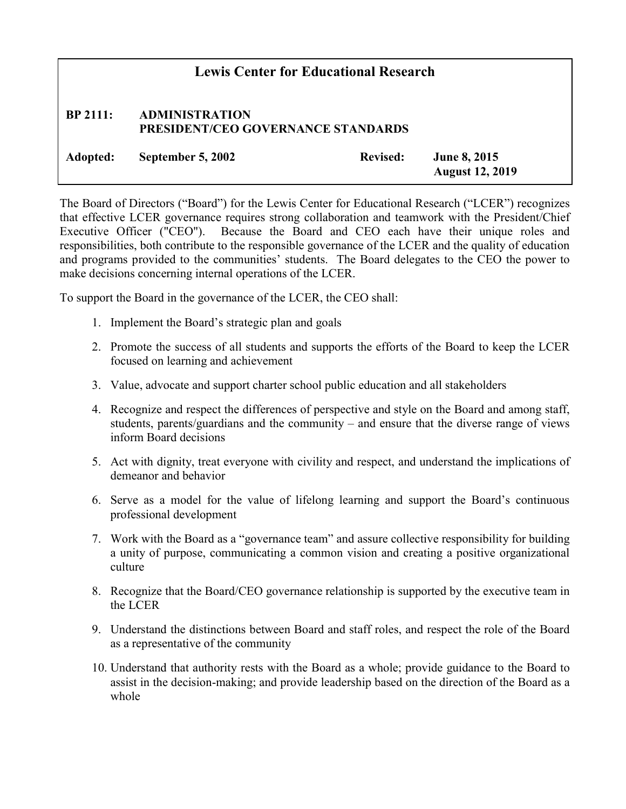## Lewis Center for Educational Research BP 2111: ADMINISTRATION PRESIDENT/CEO GOVERNANCE STANDARDS Adopted: September 5, 2002 Revised: June 8, 2015 August 12, 2019

The Board of Directors ("Board") for the Lewis Center for Educational Research ("LCER") recognizes that effective LCER governance requires strong collaboration and teamwork with the President/Chief Executive Officer ("CEO"). Because the Board and CEO each have their unique roles and responsibilities, both contribute to the responsible governance of the LCER and the quality of education and programs provided to the communities' students. The Board delegates to the CEO the power to make decisions concerning internal operations of the LCER.

To support the Board in the governance of the LCER, the CEO shall:

- 1. Implement the Board's strategic plan and goals
- 2. Promote the success of all students and supports the efforts of the Board to keep the LCER focused on learning and achievement
- 3. Value, advocate and support charter school public education and all stakeholders
- 4. Recognize and respect the differences of perspective and style on the Board and among staff, students, parents/guardians and the community – and ensure that the diverse range of views inform Board decisions
- 5. Act with dignity, treat everyone with civility and respect, and understand the implications of demeanor and behavior
- 6. Serve as a model for the value of lifelong learning and support the Board's continuous professional development
- 7. Work with the Board as a "governance team" and assure collective responsibility for building a unity of purpose, communicating a common vision and creating a positive organizational culture
- 8. Recognize that the Board/CEO governance relationship is supported by the executive team in the LCER
- 9. Understand the distinctions between Board and staff roles, and respect the role of the Board as a representative of the community
- 10. Understand that authority rests with the Board as a whole; provide guidance to the Board to assist in the decision-making; and provide leadership based on the direction of the Board as a whole